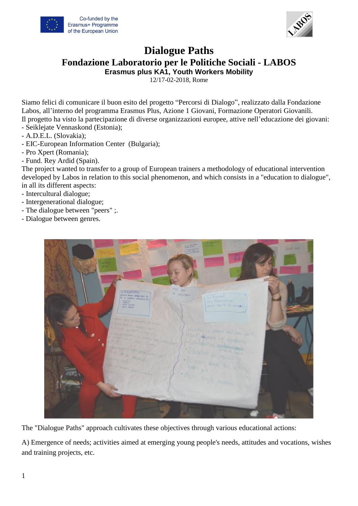



## **Dialogue Paths**

**Fondazione Laboratorio per le Politiche Sociali - LABOS**

**Erasmus plus KA1, Youth Workers Mobility**

12/17-02-2018, Rome

Siamo felici di comunicare il buon esito del progetto "Percorsi di Dialogo", realizzato dalla Fondazione Labos, all'interno del programma Erasmus Plus, Azione 1 Giovani, Formazione Operatori Giovanili. Il progetto ha visto la partecipazione di diverse organizzazioni europee, attive nell'educazione dei giovani: - Seiklejate Vennaskond (Estonia);

- A.D.E.L. (Slovakia);
- EIC-European Information Center (Bulgaria);
- Pro Xpert (Romania);
- Fund. Rey Ardid (Spain).

The project wanted to transfer to a group of European trainers a methodology of educational intervention developed by Labos in relation to this social phenomenon, and which consists in a "education to dialogue", in all its different aspects:

- Intercultural dialogue;
- Intergenerational dialogue;
- The dialogue between "peers" ;.
- Dialogue between genres.

The "Dialogue Paths" approach cultivates these objectives through various educational actions:

A) Emergence of needs; activities aimed at emerging young people's needs, attitudes and vocations, wishes and training projects, etc.